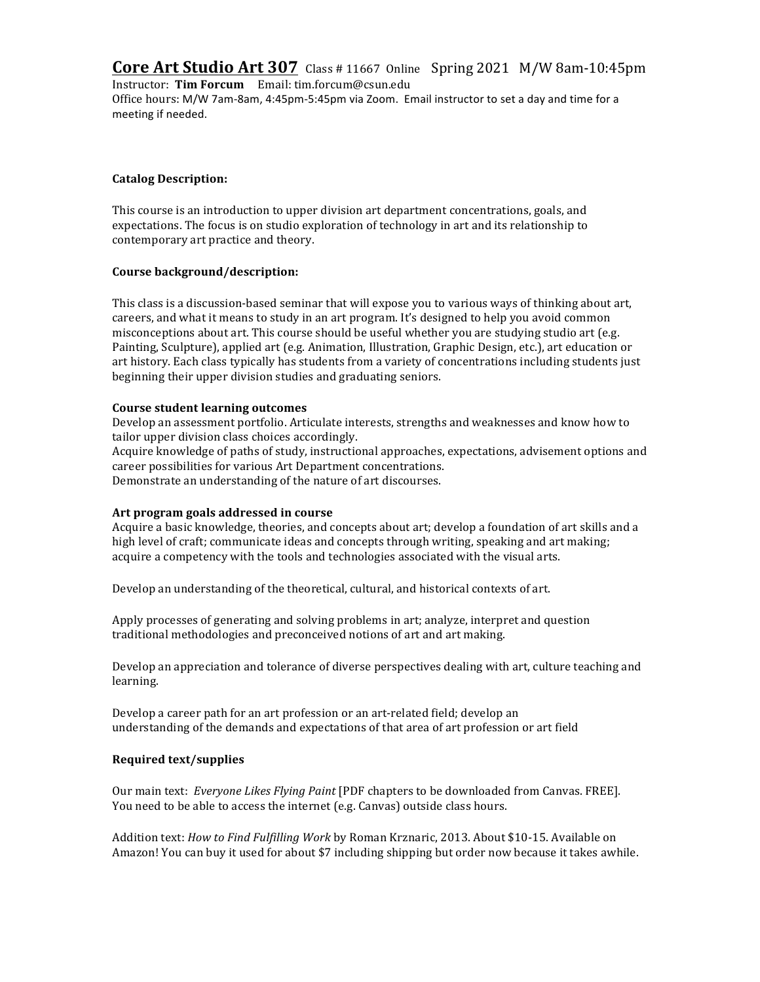**Core Art Studio Art 307** Class # 11667 Online Spring 2021 M/W 8am-10:45pm

Instructor: **Tim Forcum** Email: tim.forcum@csun.edu Office hours: M/W 7am-8am, 4:45pm-5:45pm via Zoom. Email instructor to set a day and time for a meeting if needed.

# **Catalog Description:**

This course is an introduction to upper division art department concentrations, goals, and expectations. The focus is on studio exploration of technology in art and its relationship to contemporary art practice and theory.

# **Course background/description:**

This class is a discussion-based seminar that will expose you to various ways of thinking about art, careers, and what it means to study in an art program. It's designed to help you avoid common misconceptions about art. This course should be useful whether you are studying studio art (e.g. Painting, Sculpture), applied art (e.g. Animation, Illustration, Graphic Design, etc.), art education or art history. Each class typically has students from a variety of concentrations including students just beginning their upper division studies and graduating seniors.

# **Course student learning outcomes**

Develop an assessment portfolio. Articulate interests, strengths and weaknesses and know how to tailor upper division class choices accordingly.

Acquire knowledge of paths of study, instructional approaches, expectations, advisement options and career possibilities for various Art Department concentrations.

Demonstrate an understanding of the nature of art discourses.

# Art program goals addressed in course

Acquire a basic knowledge, theories, and concepts about art; develop a foundation of art skills and a high level of craft; communicate ideas and concepts through writing, speaking and art making; acquire a competency with the tools and technologies associated with the visual arts.

Develop an understanding of the theoretical, cultural, and historical contexts of art.

Apply processes of generating and solving problems in art; analyze, interpret and question traditional methodologies and preconceived notions of art and art making.

Develop an appreciation and tolerance of diverse perspectives dealing with art, culture teaching and learning.

Develop a career path for an art profession or an art-related field; develop an understanding of the demands and expectations of that area of art profession or art field

# **Required text/supplies**

Our main text: *Everyone Likes Flying Paint* [PDF chapters to be downloaded from Canvas. FREE]. You need to be able to access the internet (e.g. Canvas) outside class hours.

Addition text: *How to Find Fulfilling Work* by Roman Krznaric, 2013. About \$10-15. Available on Amazon! You can buy it used for about \$7 including shipping but order now because it takes awhile.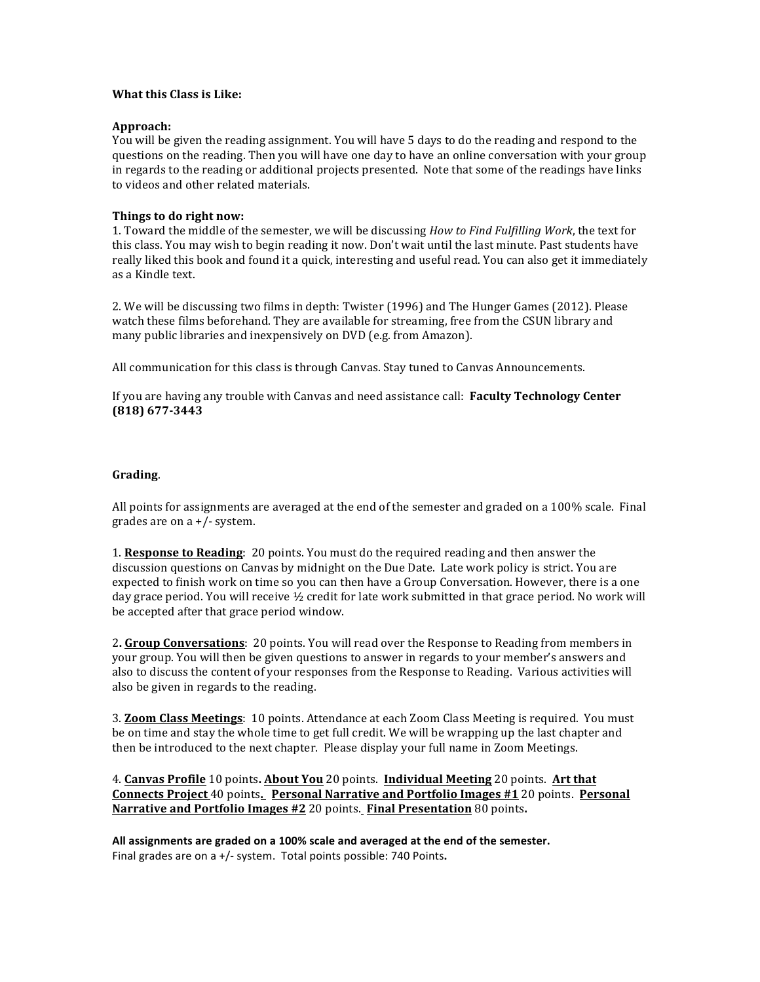### **What this Class is Like:**

#### **Approach:**

You will be given the reading assignment. You will have 5 days to do the reading and respond to the questions on the reading. Then you will have one day to have an online conversation with your group in regards to the reading or additional projects presented. Note that some of the readings have links to videos and other related materials.

### **Things to do right now:**

1. Toward the middle of the semester, we will be discussing *How to Find Fulfilling Work*, the text for this class. You may wish to begin reading it now. Don't wait until the last minute. Past students have really liked this book and found it a quick, interesting and useful read. You can also get it immediately as a Kindle text.

2. We will be discussing two films in depth: Twister (1996) and The Hunger Games (2012). Please watch these films beforehand. They are available for streaming, free from the CSUN library and many public libraries and inexpensively on DVD (e.g. from Amazon).

All communication for this class is through Canvas. Stay tuned to Canvas Announcements.

If you are having any trouble with Canvas and need assistance call: **Faculty Technology Center (818) 677-3443**

### **Grading**.

All points for assignments are averaged at the end of the semester and graded on a  $100\%$  scale. Final grades are on  $a +/-$  system.

1. **Response to Reading**: 20 points. You must do the required reading and then answer the discussion questions on Canvas by midnight on the Due Date. Late work policy is strict. You are expected to finish work on time so you can then have a Group Conversation. However, there is a one day grace period. You will receive  $\frac{1}{2}$  credit for late work submitted in that grace period. No work will be accepted after that grace period window.

2. Group Conversations: 20 points. You will read over the Response to Reading from members in your group. You will then be given questions to answer in regards to your member's answers and also to discuss the content of your responses from the Response to Reading. Various activities will also be given in regards to the reading.

**3. Zoom Class Meetings**: 10 points. Attendance at each Zoom Class Meeting is required. You must be on time and stay the whole time to get full credit. We will be wrapping up the last chapter and then be introduced to the next chapter. Please display your full name in Zoom Meetings.

4. **Canvas Profile** 10 points. **About You** 20 points. **Individual Meeting** 20 points. Art that **Connects Project** 40 points. Personal Narrative and Portfolio Images #1 20 points. Personal **Narrative and Portfolio Images** #2 20 points. **Final Presentation** 80 points.

All assignments are graded on a 100% scale and averaged at the end of the semester. Final grades are on a +/- system. Total points possible: 740 Points.